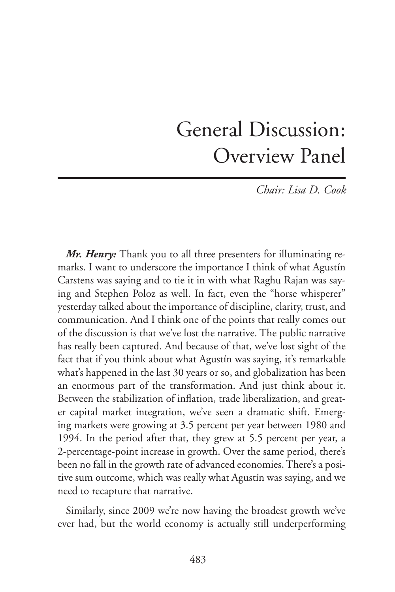## General Discussion: Overview Panel

*Chair: Lisa D. Cook*

*Mr. Henry:* Thank you to all three presenters for illuminating remarks. I want to underscore the importance I think of what Agustín Carstens was saying and to tie it in with what Raghu Rajan was saying and Stephen Poloz as well. In fact, even the "horse whisperer" yesterday talked about the importance of discipline, clarity, trust, and communication. And I think one of the points that really comes out of the discussion is that we've lost the narrative. The public narrative has really been captured. And because of that, we've lost sight of the fact that if you think about what Agustín was saying, it's remarkable what's happened in the last 30 years or so, and globalization has been an enormous part of the transformation. And just think about it. Between the stabilization of inflation, trade liberalization, and greater capital market integration, we've seen a dramatic shift. Emerging markets were growing at 3.5 percent per year between 1980 and 1994. In the period after that, they grew at 5.5 percent per year, a 2-percentage-point increase in growth. Over the same period, there's been no fall in the growth rate of advanced economies. There's a positive sum outcome, which was really what Agustín was saying, and we need to recapture that narrative.

Similarly, since 2009 we're now having the broadest growth we've ever had, but the world economy is actually still underperforming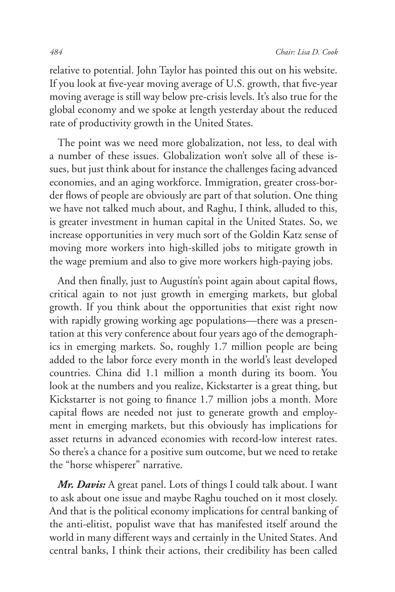relative to potential. John Taylor has pointed this out on his website. If you look at five-year moving average of U.S. growth, that five-year moving average is still way below pre-crisis levels. It's also true for the global economy and we spoke at length yesterday about the reduced rate of productivity growth in the United States.

The point was we need more globalization, not less, to deal with a number of these issues. Globalization won't solve all of these issues, but just think about for instance the challenges facing advanced economies, and an aging workforce. Immigration, greater cross-border flows of people are obviously are part of that solution. One thing we have not talked much about, and Raghu, I think, alluded to this, is greater investment in human capital in the United States. So, we increase opportunities in very much sort of the Goldin Katz sense of moving more workers into high-skilled jobs to mitigate growth in the wage premium and also to give more workers high-paying jobs.

And then finally, just to Augustín's point again about capital flows, critical again to not just growth in emerging markets, but global growth. If you think about the opportunities that exist right now with rapidly growing working age populations—there was a presentation at this very conference about four years ago of the demographics in emerging markets. So, roughly 1.7 million people are being added to the labor force every month in the world's least developed countries. China did 1.1 million a month during its boom. You look at the numbers and you realize, Kickstarter is a great thing, but Kickstarter is not going to finance 1.7 million jobs a month. More capital flows are needed not just to generate growth and employment in emerging markets, but this obviously has implications for asset returns in advanced economies with record-low interest rates. So there's a chance for a positive sum outcome, but we need to retake the "horse whisperer" narrative.

*Mr. Davis:* A great panel. Lots of things I could talk about. I want to ask about one issue and maybe Raghu touched on it most closely. And that is the political economy implications for central banking of the anti-elitist, populist wave that has manifested itself around the world in many different ways and certainly in the United States. And central banks, I think their actions, their credibility has been called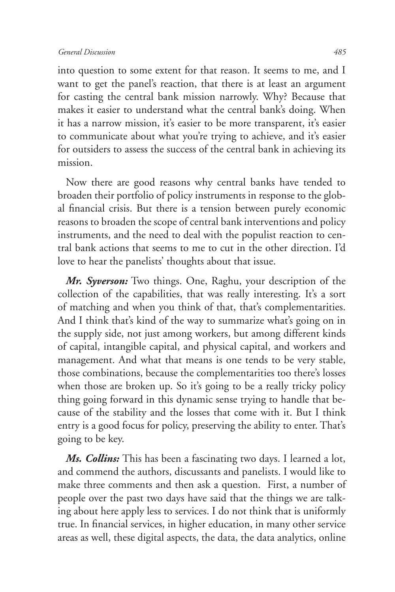into question to some extent for that reason. It seems to me, and I want to get the panel's reaction, that there is at least an argument for casting the central bank mission narrowly. Why? Because that makes it easier to understand what the central bank's doing. When it has a narrow mission, it's easier to be more transparent, it's easier to communicate about what you're trying to achieve, and it's easier for outsiders to assess the success of the central bank in achieving its mission.

Now there are good reasons why central banks have tended to broaden their portfolio of policy instruments in response to the global financial crisis. But there is a tension between purely economic reasons to broaden the scope of central bank interventions and policy instruments, and the need to deal with the populist reaction to central bank actions that seems to me to cut in the other direction. I'd love to hear the panelists' thoughts about that issue.

*Mr. Syverson:* Two things. One, Raghu, your description of the collection of the capabilities, that was really interesting. It's a sort of matching and when you think of that, that's complementarities. And I think that's kind of the way to summarize what's going on in the supply side, not just among workers, but among different kinds of capital, intangible capital, and physical capital, and workers and management. And what that means is one tends to be very stable, those combinations, because the complementarities too there's losses when those are broken up. So it's going to be a really tricky policy thing going forward in this dynamic sense trying to handle that because of the stability and the losses that come with it. But I think entry is a good focus for policy, preserving the ability to enter. That's going to be key.

*Ms. Collins:* This has been a fascinating two days. I learned a lot, and commend the authors, discussants and panelists. I would like to make three comments and then ask a question. First, a number of people over the past two days have said that the things we are talking about here apply less to services. I do not think that is uniformly true. In financial services, in higher education, in many other service areas as well, these digital aspects, the data, the data analytics, online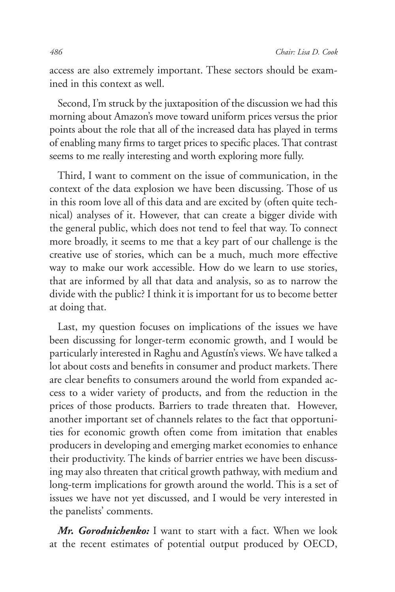access are also extremely important. These sectors should be examined in this context as well.

Second, I'm struck by the juxtaposition of the discussion we had this morning about Amazon's move toward uniform prices versus the prior points about the role that all of the increased data has played in terms of enabling many firms to target prices to specific places. That contrast seems to me really interesting and worth exploring more fully.

Third, I want to comment on the issue of communication, in the context of the data explosion we have been discussing. Those of us in this room love all of this data and are excited by (often quite technical) analyses of it. However, that can create a bigger divide with the general public, which does not tend to feel that way. To connect more broadly, it seems to me that a key part of our challenge is the creative use of stories, which can be a much, much more effective way to make our work accessible. How do we learn to use stories, that are informed by all that data and analysis, so as to narrow the divide with the public? I think it is important for us to become better at doing that.

Last, my question focuses on implications of the issues we have been discussing for longer-term economic growth, and I would be particularly interested in Raghu and Agustín's views. We have talked a lot about costs and benefits in consumer and product markets. There are clear benefits to consumers around the world from expanded access to a wider variety of products, and from the reduction in the prices of those products. Barriers to trade threaten that. However, another important set of channels relates to the fact that opportunities for economic growth often come from imitation that enables producers in developing and emerging market economies to enhance their productivity. The kinds of barrier entries we have been discussing may also threaten that critical growth pathway, with medium and long-term implications for growth around the world. This is a set of issues we have not yet discussed, and I would be very interested in the panelists' comments.

*Mr. Gorodnichenko:* I want to start with a fact. When we look at the recent estimates of potential output produced by OECD,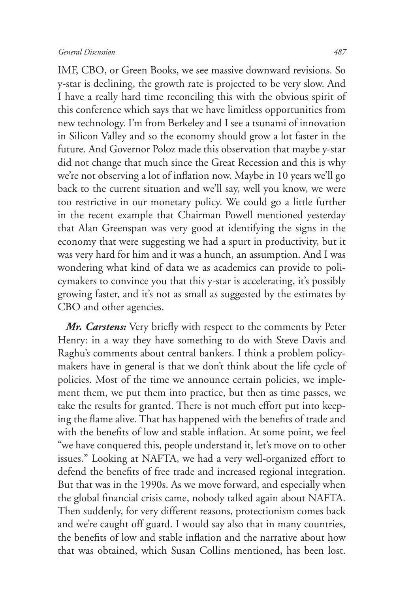IMF, CBO, or Green Books, we see massive downward revisions. So y-star is declining, the growth rate is projected to be very slow. And I have a really hard time reconciling this with the obvious spirit of this conference which says that we have limitless opportunities from new technology. I'm from Berkeley and I see a tsunami of innovation in Silicon Valley and so the economy should grow a lot faster in the future. And Governor Poloz made this observation that maybe y-star did not change that much since the Great Recession and this is why we're not observing a lot of inflation now. Maybe in 10 years we'll go back to the current situation and we'll say, well you know, we were too restrictive in our monetary policy. We could go a little further in the recent example that Chairman Powell mentioned yesterday that Alan Greenspan was very good at identifying the signs in the economy that were suggesting we had a spurt in productivity, but it was very hard for him and it was a hunch, an assumption. And I was wondering what kind of data we as academics can provide to policymakers to convince you that this y-star is accelerating, it's possibly growing faster, and it's not as small as suggested by the estimates by CBO and other agencies.

*Mr. Carstens:* Very briefly with respect to the comments by Peter Henry: in a way they have something to do with Steve Davis and Raghu's comments about central bankers. I think a problem policymakers have in general is that we don't think about the life cycle of policies. Most of the time we announce certain policies, we implement them, we put them into practice, but then as time passes, we take the results for granted. There is not much effort put into keeping the flame alive. That has happened with the benefits of trade and with the benefits of low and stable inflation. At some point, we feel "we have conquered this, people understand it, let's move on to other issues." Looking at NAFTA, we had a very well-organized effort to defend the benefits of free trade and increased regional integration. But that was in the 1990s. As we move forward, and especially when the global financial crisis came, nobody talked again about NAFTA. Then suddenly, for very different reasons, protectionism comes back and we're caught off guard. I would say also that in many countries, the benefits of low and stable inflation and the narrative about how that was obtained, which Susan Collins mentioned, has been lost.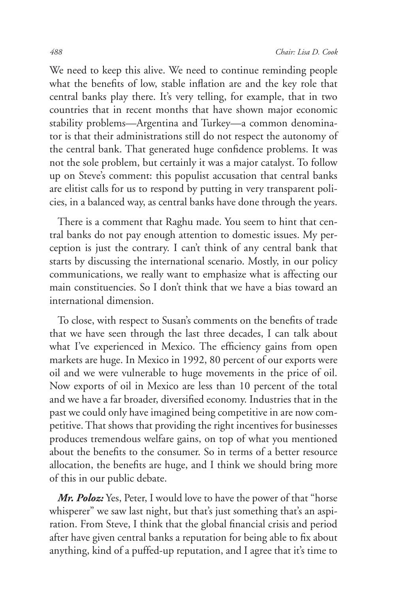We need to keep this alive. We need to continue reminding people what the benefits of low, stable inflation are and the key role that central banks play there. It's very telling, for example, that in two countries that in recent months that have shown major economic stability problems—Argentina and Turkey—a common denominator is that their administrations still do not respect the autonomy of the central bank. That generated huge confidence problems. It was not the sole problem, but certainly it was a major catalyst. To follow up on Steve's comment: this populist accusation that central banks are elitist calls for us to respond by putting in very transparent policies, in a balanced way, as central banks have done through the years.

There is a comment that Raghu made. You seem to hint that central banks do not pay enough attention to domestic issues. My perception is just the contrary. I can't think of any central bank that starts by discussing the international scenario. Mostly, in our policy communications, we really want to emphasize what is affecting our main constituencies. So I don't think that we have a bias toward an international dimension.

To close, with respect to Susan's comments on the benefits of trade that we have seen through the last three decades, I can talk about what I've experienced in Mexico. The efficiency gains from open markets are huge. In Mexico in 1992, 80 percent of our exports were oil and we were vulnerable to huge movements in the price of oil. Now exports of oil in Mexico are less than 10 percent of the total and we have a far broader, diversified economy. Industries that in the past we could only have imagined being competitive in are now competitive. That shows that providing the right incentives for businesses produces tremendous welfare gains, on top of what you mentioned about the benefits to the consumer. So in terms of a better resource allocation, the benefits are huge, and I think we should bring more of this in our public debate.

*Mr. Poloz:* Yes, Peter, I would love to have the power of that "horse" whisperer" we saw last night, but that's just something that's an aspiration. From Steve, I think that the global financial crisis and period after have given central banks a reputation for being able to fix about anything, kind of a puffed-up reputation, and I agree that it's time to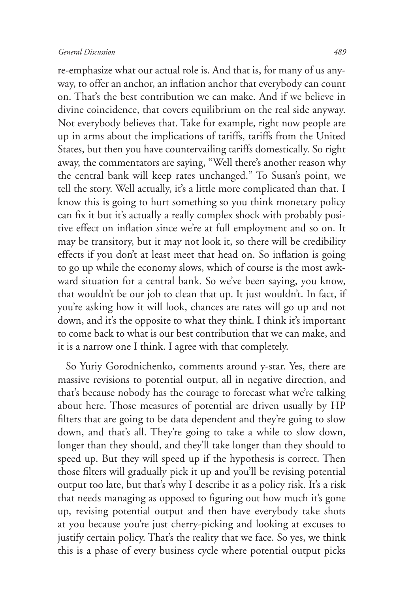re-emphasize what our actual role is. And that is, for many of us anyway, to offer an anchor, an inflation anchor that everybody can count on. That's the best contribution we can make. And if we believe in divine coincidence, that covers equilibrium on the real side anyway. Not everybody believes that. Take for example, right now people are up in arms about the implications of tariffs, tariffs from the United States, but then you have countervailing tariffs domestically. So right away, the commentators are saying, "Well there's another reason why the central bank will keep rates unchanged." To Susan's point, we tell the story. Well actually, it's a little more complicated than that. I know this is going to hurt something so you think monetary policy can fix it but it's actually a really complex shock with probably positive effect on inflation since we're at full employment and so on. It may be transitory, but it may not look it, so there will be credibility effects if you don't at least meet that head on. So inflation is going to go up while the economy slows, which of course is the most awkward situation for a central bank. So we've been saying, you know, that wouldn't be our job to clean that up. It just wouldn't. In fact, if you're asking how it will look, chances are rates will go up and not down, and it's the opposite to what they think. I think it's important to come back to what is our best contribution that we can make, and it is a narrow one I think. I agree with that completely.

So Yuriy Gorodnichenko, comments around y-star. Yes, there are massive revisions to potential output, all in negative direction, and that's because nobody has the courage to forecast what we're talking about here. Those measures of potential are driven usually by HP filters that are going to be data dependent and they're going to slow down, and that's all. They're going to take a while to slow down, longer than they should, and they'll take longer than they should to speed up. But they will speed up if the hypothesis is correct. Then those filters will gradually pick it up and you'll be revising potential output too late, but that's why I describe it as a policy risk. It's a risk that needs managing as opposed to figuring out how much it's gone up, revising potential output and then have everybody take shots at you because you're just cherry-picking and looking at excuses to justify certain policy. That's the reality that we face. So yes, we think this is a phase of every business cycle where potential output picks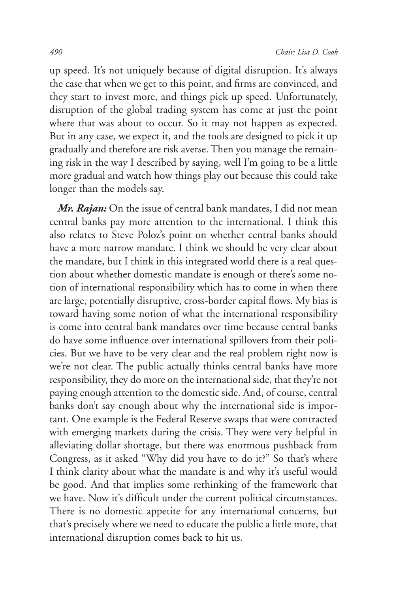up speed. It's not uniquely because of digital disruption. It's always the case that when we get to this point, and firms are convinced, and they start to invest more, and things pick up speed. Unfortunately, disruption of the global trading system has come at just the point where that was about to occur. So it may not happen as expected. But in any case, we expect it, and the tools are designed to pick it up gradually and therefore are risk averse. Then you manage the remaining risk in the way I described by saying, well I'm going to be a little more gradual and watch how things play out because this could take longer than the models say.

*Mr. Rajan:* On the issue of central bank mandates, I did not mean central banks pay more attention to the international. I think this also relates to Steve Poloz's point on whether central banks should have a more narrow mandate. I think we should be very clear about the mandate, but I think in this integrated world there is a real question about whether domestic mandate is enough or there's some notion of international responsibility which has to come in when there are large, potentially disruptive, cross-border capital flows. My bias is toward having some notion of what the international responsibility is come into central bank mandates over time because central banks do have some influence over international spillovers from their policies. But we have to be very clear and the real problem right now is we're not clear. The public actually thinks central banks have more responsibility, they do more on the international side, that they're not paying enough attention to the domestic side. And, of course, central banks don't say enough about why the international side is important. One example is the Federal Reserve swaps that were contracted with emerging markets during the crisis. They were very helpful in alleviating dollar shortage, but there was enormous pushback from Congress, as it asked "Why did you have to do it?" So that's where I think clarity about what the mandate is and why it's useful would be good. And that implies some rethinking of the framework that we have. Now it's difficult under the current political circumstances. There is no domestic appetite for any international concerns, but that's precisely where we need to educate the public a little more, that international disruption comes back to hit us.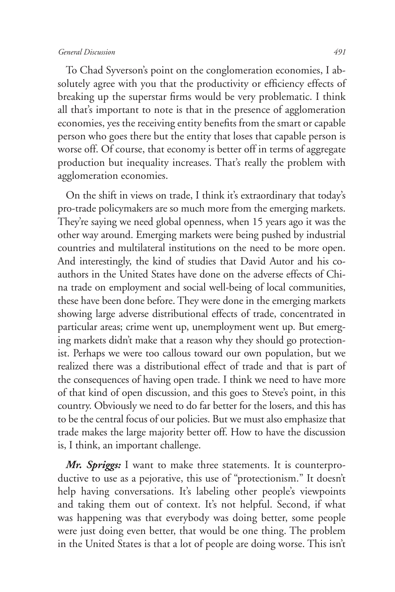## *General Discussion 491*

To Chad Syverson's point on the conglomeration economies, I absolutely agree with you that the productivity or efficiency effects of breaking up the superstar firms would be very problematic. I think all that's important to note is that in the presence of agglomeration economies, yes the receiving entity benefits from the smart or capable person who goes there but the entity that loses that capable person is worse off. Of course, that economy is better off in terms of aggregate production but inequality increases. That's really the problem with agglomeration economies.

On the shift in views on trade, I think it's extraordinary that today's pro-trade policymakers are so much more from the emerging markets. They're saying we need global openness, when 15 years ago it was the other way around. Emerging markets were being pushed by industrial countries and multilateral institutions on the need to be more open. And interestingly, the kind of studies that David Autor and his coauthors in the United States have done on the adverse effects of China trade on employment and social well-being of local communities, these have been done before. They were done in the emerging markets showing large adverse distributional effects of trade, concentrated in particular areas; crime went up, unemployment went up. But emerging markets didn't make that a reason why they should go protectionist. Perhaps we were too callous toward our own population, but we realized there was a distributional effect of trade and that is part of the consequences of having open trade. I think we need to have more of that kind of open discussion, and this goes to Steve's point, in this country. Obviously we need to do far better for the losers, and this has to be the central focus of our policies. But we must also emphasize that trade makes the large majority better off. How to have the discussion is, I think, an important challenge.

*Mr. Spriggs:* I want to make three statements. It is counterproductive to use as a pejorative, this use of "protectionism." It doesn't help having conversations. It's labeling other people's viewpoints and taking them out of context. It's not helpful. Second, if what was happening was that everybody was doing better, some people were just doing even better, that would be one thing. The problem in the United States is that a lot of people are doing worse. This isn't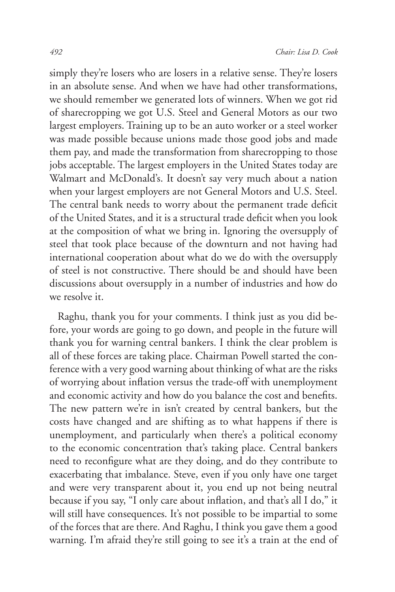simply they're losers who are losers in a relative sense. They're losers in an absolute sense. And when we have had other transformations, we should remember we generated lots of winners. When we got rid of sharecropping we got U.S. Steel and General Motors as our two largest employers. Training up to be an auto worker or a steel worker was made possible because unions made those good jobs and made them pay, and made the transformation from sharecropping to those jobs acceptable. The largest employers in the United States today are Walmart and McDonald's. It doesn't say very much about a nation when your largest employers are not General Motors and U.S. Steel. The central bank needs to worry about the permanent trade deficit of the United States, and it is a structural trade deficit when you look at the composition of what we bring in. Ignoring the oversupply of steel that took place because of the downturn and not having had international cooperation about what do we do with the oversupply of steel is not constructive. There should be and should have been discussions about oversupply in a number of industries and how do we resolve it.

Raghu, thank you for your comments. I think just as you did before, your words are going to go down, and people in the future will thank you for warning central bankers. I think the clear problem is all of these forces are taking place. Chairman Powell started the conference with a very good warning about thinking of what are the risks of worrying about inflation versus the trade-off with unemployment and economic activity and how do you balance the cost and benefits. The new pattern we're in isn't created by central bankers, but the costs have changed and are shifting as to what happens if there is unemployment, and particularly when there's a political economy to the economic concentration that's taking place. Central bankers need to reconfigure what are they doing, and do they contribute to exacerbating that imbalance. Steve, even if you only have one target and were very transparent about it, you end up not being neutral because if you say, "I only care about inflation, and that's all I do," it will still have consequences. It's not possible to be impartial to some of the forces that are there. And Raghu, I think you gave them a good warning. I'm afraid they're still going to see it's a train at the end of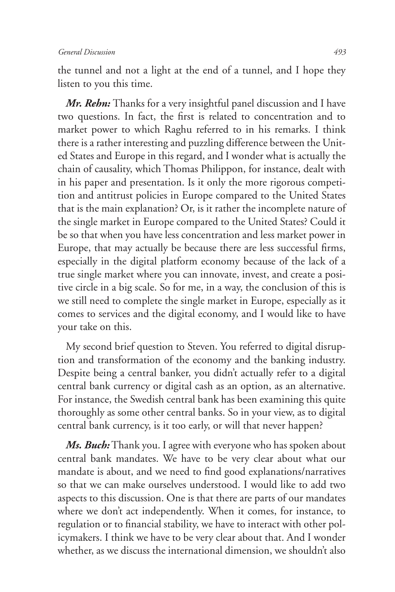the tunnel and not a light at the end of a tunnel, and I hope they listen to you this time.

*Mr. Rehn:* Thanks for a very insightful panel discussion and I have two questions. In fact, the first is related to concentration and to market power to which Raghu referred to in his remarks. I think there is a rather interesting and puzzling difference between the United States and Europe in this regard, and I wonder what is actually the chain of causality, which Thomas Philippon, for instance, dealt with in his paper and presentation. Is it only the more rigorous competition and antitrust policies in Europe compared to the United States that is the main explanation? Or, is it rather the incomplete nature of the single market in Europe compared to the United States? Could it be so that when you have less concentration and less market power in Europe, that may actually be because there are less successful firms, especially in the digital platform economy because of the lack of a true single market where you can innovate, invest, and create a positive circle in a big scale. So for me, in a way, the conclusion of this is we still need to complete the single market in Europe, especially as it comes to services and the digital economy, and I would like to have your take on this.

My second brief question to Steven. You referred to digital disruption and transformation of the economy and the banking industry. Despite being a central banker, you didn't actually refer to a digital central bank currency or digital cash as an option, as an alternative. For instance, the Swedish central bank has been examining this quite thoroughly as some other central banks. So in your view, as to digital central bank currency, is it too early, or will that never happen?

*Ms. Buch:* Thank you. I agree with everyone who has spoken about central bank mandates. We have to be very clear about what our mandate is about, and we need to find good explanations/narratives so that we can make ourselves understood. I would like to add two aspects to this discussion. One is that there are parts of our mandates where we don't act independently. When it comes, for instance, to regulation or to financial stability, we have to interact with other policymakers. I think we have to be very clear about that. And I wonder whether, as we discuss the international dimension, we shouldn't also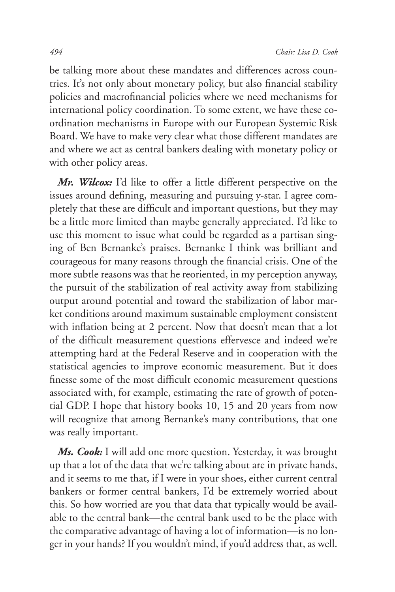be talking more about these mandates and differences across countries. It's not only about monetary policy, but also financial stability policies and macrofinancial policies where we need mechanisms for international policy coordination. To some extent, we have these coordination mechanisms in Europe with our European Systemic Risk Board. We have to make very clear what those different mandates are and where we act as central bankers dealing with monetary policy or with other policy areas.

*Mr. Wilcox:* I'd like to offer a little different perspective on the issues around defining, measuring and pursuing y-star. I agree completely that these are difficult and important questions, but they may be a little more limited than maybe generally appreciated. I'd like to use this moment to issue what could be regarded as a partisan singing of Ben Bernanke's praises. Bernanke I think was brilliant and courageous for many reasons through the financial crisis. One of the more subtle reasons was that he reoriented, in my perception anyway, the pursuit of the stabilization of real activity away from stabilizing output around potential and toward the stabilization of labor market conditions around maximum sustainable employment consistent with inflation being at 2 percent. Now that doesn't mean that a lot of the difficult measurement questions effervesce and indeed we're attempting hard at the Federal Reserve and in cooperation with the statistical agencies to improve economic measurement. But it does finesse some of the most difficult economic measurement questions associated with, for example, estimating the rate of growth of potential GDP. I hope that history books 10, 15 and 20 years from now will recognize that among Bernanke's many contributions, that one was really important.

*Ms. Cook:* I will add one more question. Yesterday, it was brought up that a lot of the data that we're talking about are in private hands, and it seems to me that, if I were in your shoes, either current central bankers or former central bankers, I'd be extremely worried about this. So how worried are you that data that typically would be available to the central bank—the central bank used to be the place with the comparative advantage of having a lot of information—is no longer in your hands? If you wouldn't mind, if you'd address that, as well.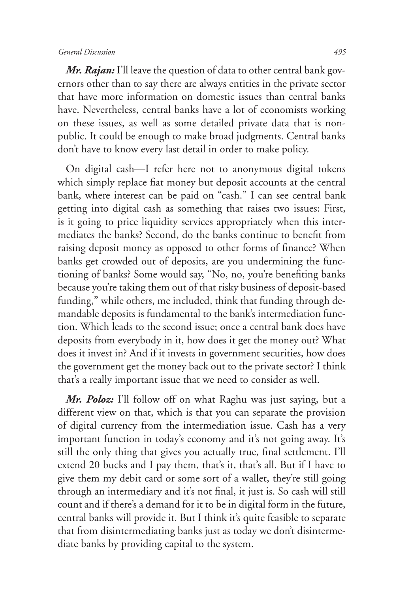## *General Discussion 495*

*Mr. Rajan:* I'll leave the question of data to other central bank governors other than to say there are always entities in the private sector that have more information on domestic issues than central banks have. Nevertheless, central banks have a lot of economists working on these issues, as well as some detailed private data that is nonpublic. It could be enough to make broad judgments. Central banks don't have to know every last detail in order to make policy.

On digital cash—I refer here not to anonymous digital tokens which simply replace fiat money but deposit accounts at the central bank, where interest can be paid on "cash." I can see central bank getting into digital cash as something that raises two issues: First, is it going to price liquidity services appropriately when this intermediates the banks? Second, do the banks continue to benefit from raising deposit money as opposed to other forms of finance? When banks get crowded out of deposits, are you undermining the functioning of banks? Some would say, "No, no, you're benefiting banks because you're taking them out of that risky business of deposit-based funding," while others, me included, think that funding through demandable deposits is fundamental to the bank's intermediation function. Which leads to the second issue; once a central bank does have deposits from everybody in it, how does it get the money out? What does it invest in? And if it invests in government securities, how does the government get the money back out to the private sector? I think that's a really important issue that we need to consider as well.

*Mr. Poloz:* I'll follow off on what Raghu was just saying, but a different view on that, which is that you can separate the provision of digital currency from the intermediation issue. Cash has a very important function in today's economy and it's not going away. It's still the only thing that gives you actually true, final settlement. I'll extend 20 bucks and I pay them, that's it, that's all. But if I have to give them my debit card or some sort of a wallet, they're still going through an intermediary and it's not final, it just is. So cash will still count and if there's a demand for it to be in digital form in the future, central banks will provide it. But I think it's quite feasible to separate that from disintermediating banks just as today we don't disintermediate banks by providing capital to the system.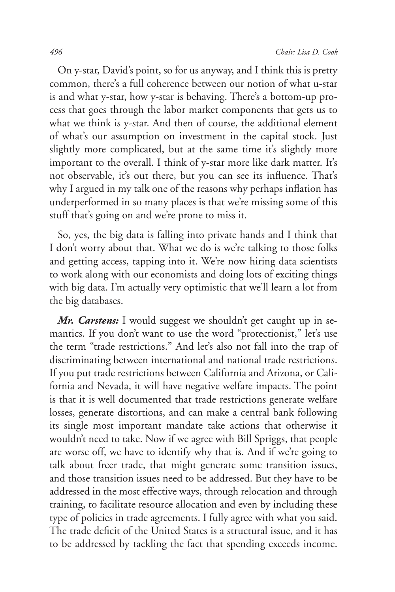On y-star, David's point, so for us anyway, and I think this is pretty common, there's a full coherence between our notion of what u-star is and what y-star, how y-star is behaving. There's a bottom-up process that goes through the labor market components that gets us to what we think is y-star. And then of course, the additional element of what's our assumption on investment in the capital stock. Just slightly more complicated, but at the same time it's slightly more important to the overall. I think of y-star more like dark matter. It's not observable, it's out there, but you can see its influence. That's why I argued in my talk one of the reasons why perhaps inflation has underperformed in so many places is that we're missing some of this stuff that's going on and we're prone to miss it.

So, yes, the big data is falling into private hands and I think that I don't worry about that. What we do is we're talking to those folks and getting access, tapping into it. We're now hiring data scientists to work along with our economists and doing lots of exciting things with big data. I'm actually very optimistic that we'll learn a lot from the big databases.

*Mr. Carstens:* I would suggest we shouldn't get caught up in semantics. If you don't want to use the word "protectionist," let's use the term "trade restrictions." And let's also not fall into the trap of discriminating between international and national trade restrictions. If you put trade restrictions between California and Arizona, or California and Nevada, it will have negative welfare impacts. The point is that it is well documented that trade restrictions generate welfare losses, generate distortions, and can make a central bank following its single most important mandate take actions that otherwise it wouldn't need to take. Now if we agree with Bill Spriggs, that people are worse off, we have to identify why that is. And if we're going to talk about freer trade, that might generate some transition issues, and those transition issues need to be addressed. But they have to be addressed in the most effective ways, through relocation and through training, to facilitate resource allocation and even by including these type of policies in trade agreements. I fully agree with what you said. The trade deficit of the United States is a structural issue, and it has to be addressed by tackling the fact that spending exceeds income.